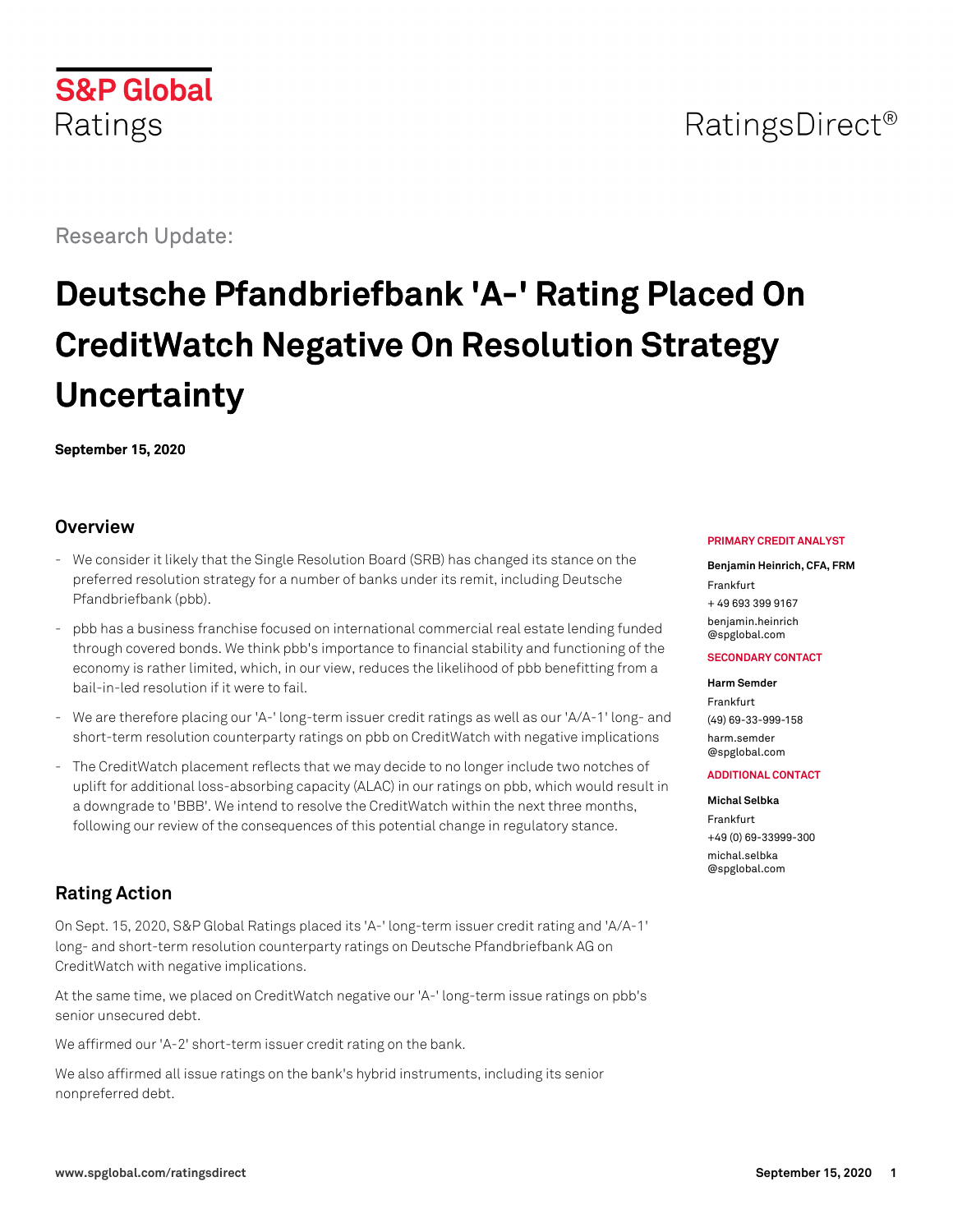## **S&P Global** Ratings

## Research Update:

# **Deutsche Pfandbriefbank 'A-' Rating Placed On CreditWatch Negative On Resolution Strategy Uncertainty**

**September 15, 2020**

## **Overview**

- We consider it likely that the Single Resolution Board (SRB) has changed its stance on the preferred resolution strategy for a number of banks under its remit, including Deutsche Pfandbriefbank (pbb).
- pbb has a business franchise focused on international commercial real estate lending funded through covered bonds. We think pbb's importance to financial stability and functioning of the economy is rather limited, which, in our view, reduces the likelihood of pbb benefitting from a bail-in-led resolution if it were to fail.
- We are therefore placing our 'A-' long-term issuer credit ratings as well as our 'A/A-1' long- and short-term resolution counterparty ratings on pbb on CreditWatch with negative implications
- The CreditWatch placement reflects that we may decide to no longer include two notches of uplift for additional loss-absorbing capacity (ALAC) in our ratings on pbb, which would result in a downgrade to 'BBB'. We intend to resolve the CreditWatch within the next three months, following our review of the consequences of this potential change in regulatory stance.

## **Rating Action**

On Sept. 15, 2020, S&P Global Ratings placed its 'A-' long-term issuer credit rating and 'A/A-1' long- and short-term resolution counterparty ratings on Deutsche Pfandbriefbank AG on CreditWatch with negative implications.

At the same time, we placed on CreditWatch negative our 'A-' long-term issue ratings on pbb's senior unsecured debt.

We affirmed our 'A-2' short-term issuer credit rating on the bank.

We also affirmed all issue ratings on the bank's hybrid instruments, including its senior nonpreferred debt.

#### **PRIMARY CREDIT ANALYST**

**Benjamin Heinrich, CFA, FRM** Frankfurt + 49 693 399 9167 [benjamin.heinrich](mailto:benjamin.heinrich@spglobal.com) [@spglobal.com](mailto:benjamin.heinrich@spglobal.com)

#### **SECONDARY CONTACT**

#### **Harm Semder**

Frankfurt (49) 69-33-999-158 [harm.semder](mailto:harm.semder@spglobal.com) [@spglobal.com](mailto:harm.semder@spglobal.com)

#### **ADDITIONAL CONTACT**

#### **Michal Selbka**

Frankfurt +49 (0) 69-33999-300 [michal.selbka](mailto:michal.selbka@spglobal.com) [@spglobal.com](mailto:michal.selbka@spglobal.com)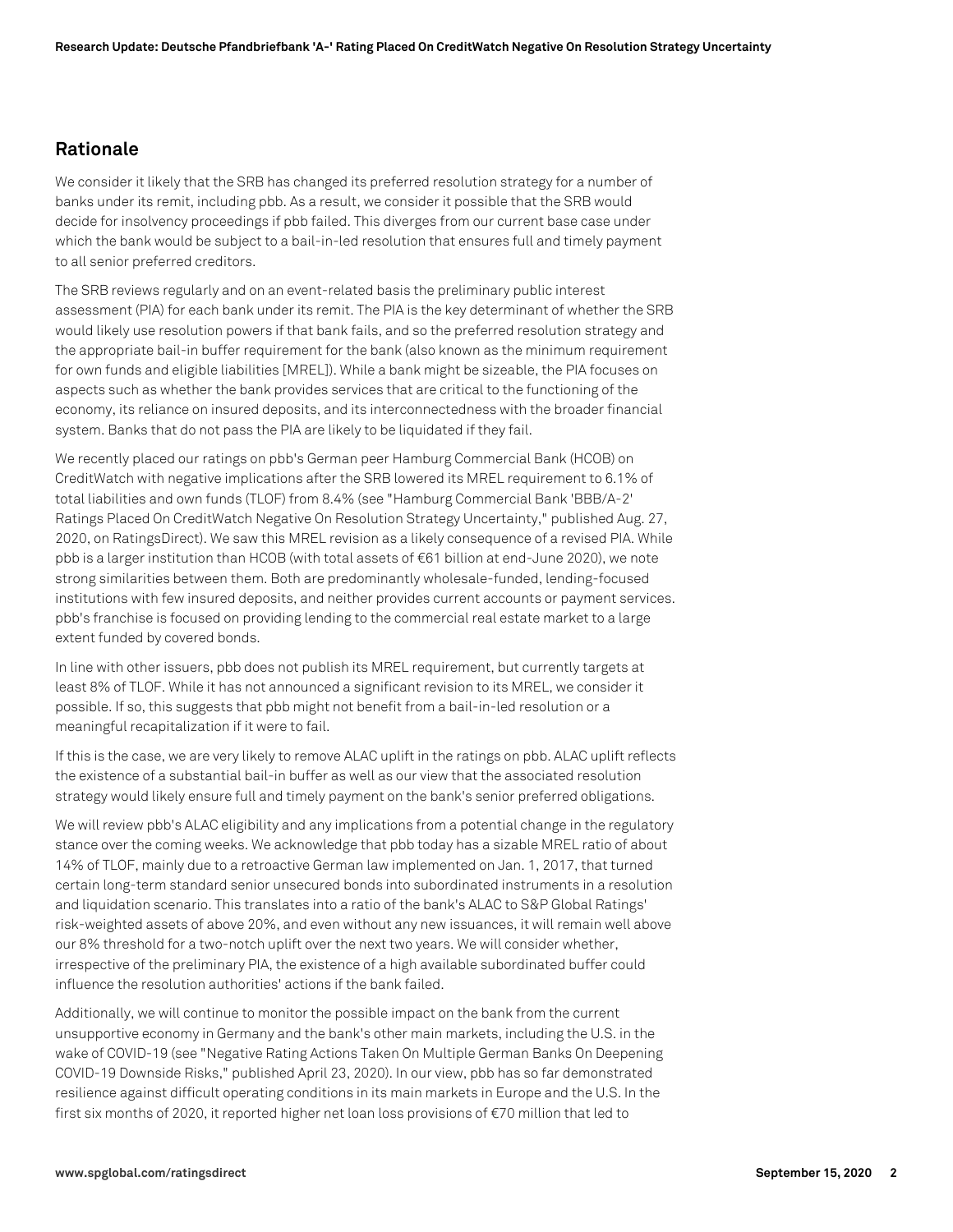### **Rationale**

We consider it likely that the SRB has changed its preferred resolution strategy for a number of banks under its remit, including pbb. As a result, we consider it possible that the SRB would decide for insolvency proceedings if pbb failed. This diverges from our current base case under which the bank would be subject to a bail-in-led resolution that ensures full and timely payment to all senior preferred creditors.

The SRB reviews regularly and on an event-related basis the preliminary public interest assessment (PIA) for each bank under its remit. The PIA is the key determinant of whether the SRB would likely use resolution powers if that bank fails, and so the preferred resolution strategy and the appropriate bail-in buffer requirement for the bank (also known as the minimum requirement for own funds and eligible liabilities [MREL]). While a bank might be sizeable, the PIA focuses on aspects such as whether the bank provides services that are critical to the functioning of the economy, its reliance on insured deposits, and its interconnectedness with the broader financial system. Banks that do not pass the PIA are likely to be liquidated if they fail.

We recently placed our ratings on pbb's German peer Hamburg Commercial Bank (HCOB) on CreditWatch with negative implications after the SRB lowered its MREL requirement to 6.1% of total liabilities and own funds (TLOF) from 8.4% (see "Hamburg Commercial Bank 'BBB/A-2' Ratings Placed On CreditWatch Negative On Resolution Strategy Uncertainty," published Aug. 27, 2020, on RatingsDirect). We saw this MREL revision as a likely consequence of a revised PIA. While pbb is a larger institution than HCOB (with total assets of €61 billion at end-June 2020), we note strong similarities between them. Both are predominantly wholesale-funded, lending-focused institutions with few insured deposits, and neither provides current accounts or payment services. pbb's franchise is focused on providing lending to the commercial real estate market to a large extent funded by covered bonds.

In line with other issuers, pbb does not publish its MREL requirement, but currently targets at least 8% of TLOF. While it has not announced a significant revision to its MREL, we consider it possible. If so, this suggests that pbb might not benefit from a bail-in-led resolution or a meaningful recapitalization if it were to fail.

If this is the case, we are very likely to remove ALAC uplift in the ratings on pbb. ALAC uplift reflects the existence of a substantial bail-in buffer as well as our view that the associated resolution strategy would likely ensure full and timely payment on the bank's senior preferred obligations.

We will review pbb's ALAC eligibility and any implications from a potential change in the regulatory stance over the coming weeks. We acknowledge that pbb today has a sizable MREL ratio of about 14% of TLOF, mainly due to a retroactive German law implemented on Jan. 1, 2017, that turned certain long-term standard senior unsecured bonds into subordinated instruments in a resolution and liquidation scenario. This translates into a ratio of the bank's ALAC to S&P Global Ratings' risk-weighted assets of above 20%, and even without any new issuances, it will remain well above our 8% threshold for a two-notch uplift over the next two years. We will consider whether, irrespective of the preliminary PIA, the existence of a high available subordinated buffer could influence the resolution authorities' actions if the bank failed.

Additionally, we will continue to monitor the possible impact on the bank from the current unsupportive economy in Germany and the bank's other main markets, including the U.S. in the wake of COVID-19 (see "Negative Rating Actions Taken On Multiple German Banks On Deepening COVID-19 Downside Risks," published April 23, 2020). In our view, pbb has so far demonstrated resilience against difficult operating conditions in its main markets in Europe and the U.S. In the first six months of 2020, it reported higher net loan loss provisions of €70 million that led to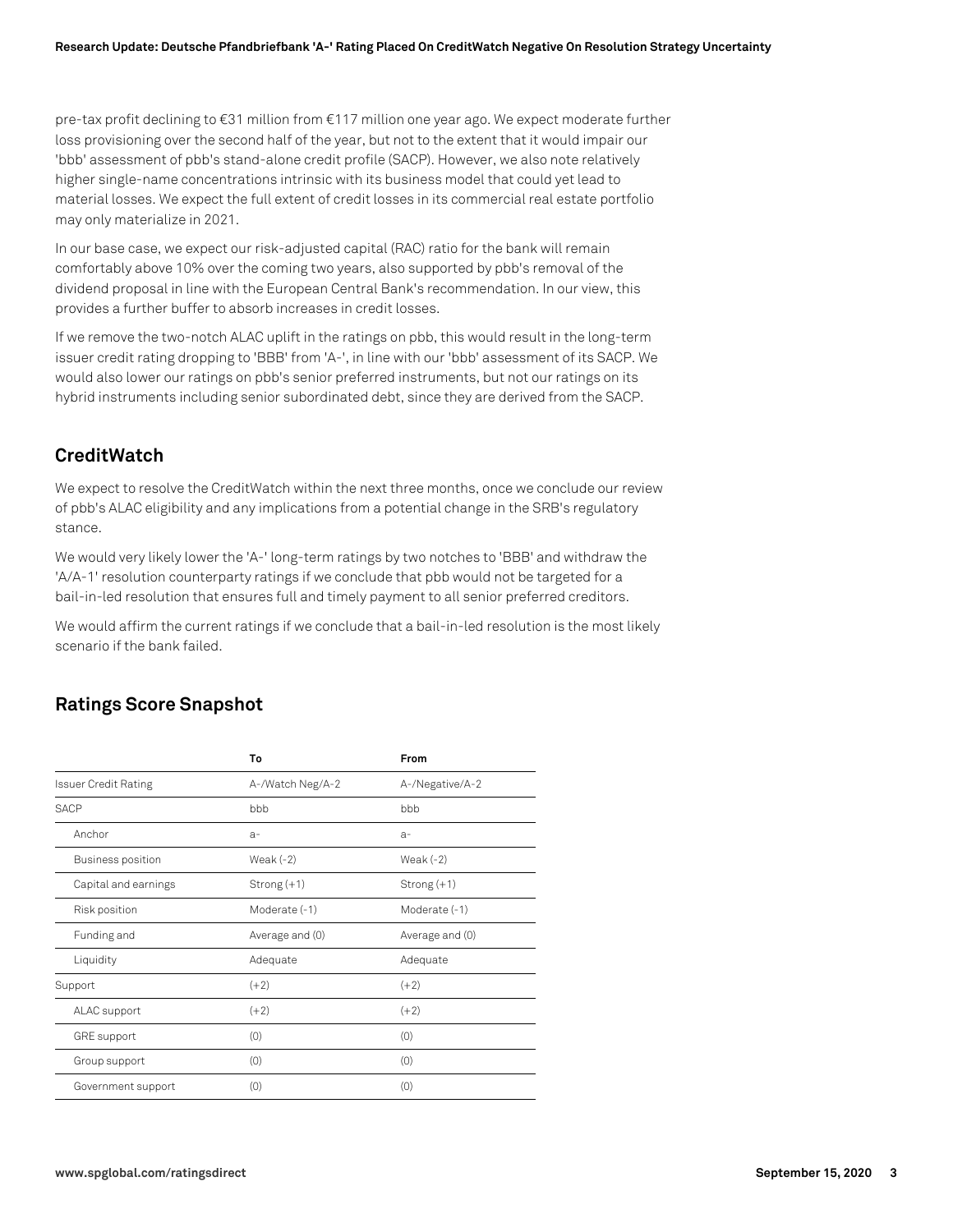pre-tax profit declining to €31 million from €117 million one year ago. We expect moderate further loss provisioning over the second half of the year, but not to the extent that it would impair our 'bbb' assessment of pbb's stand-alone credit profile (SACP). However, we also note relatively higher single-name concentrations intrinsic with its business model that could yet lead to material losses. We expect the full extent of credit losses in its commercial real estate portfolio may only materialize in 2021.

In our base case, we expect our risk-adjusted capital (RAC) ratio for the bank will remain comfortably above 10% over the coming two years, also supported by pbb's removal of the dividend proposal in line with the European Central Bank's recommendation. In our view, this provides a further buffer to absorb increases in credit losses.

If we remove the two-notch ALAC uplift in the ratings on pbb, this would result in the long-term issuer credit rating dropping to 'BBB' from 'A-', in line with our 'bbb' assessment of its SACP. We would also lower our ratings on pbb's senior preferred instruments, but not our ratings on its hybrid instruments including senior subordinated debt, since they are derived from the SACP.

## **CreditWatch**

We expect to resolve the CreditWatch within the next three months, once we conclude our review of pbb's ALAC eligibility and any implications from a potential change in the SRB's regulatory stance.

We would very likely lower the 'A-' long-term ratings by two notches to 'BBB' and withdraw the 'A/A-1' resolution counterparty ratings if we conclude that pbb would not be targeted for a bail-in-led resolution that ensures full and timely payment to all senior preferred creditors.

We would affirm the current ratings if we conclude that a bail-in-led resolution is the most likely scenario if the bank failed.

## **Ratings Score Snapshot**

|                             | To               | From            |
|-----------------------------|------------------|-----------------|
| <b>Issuer Credit Rating</b> | A-/Watch Neg/A-2 | A-/Negative/A-2 |
| <b>SACP</b>                 | bbb              | bbb             |
| Anchor                      | $a-$             | $a-$            |
| Business position           | Weak $(-2)$      | Weak $(-2)$     |
| Capital and earnings        | Strong $(+1)$    | $Strong(+1)$    |
| Risk position               | Moderate (-1)    | Moderate (-1)   |
| Funding and                 | Average and (0)  | Average and (0) |
| Liquidity                   | Adequate         | Adequate        |
| Support                     | $(+2)$           | $(+2)$          |
| ALAC support                | $(+2)$           | $(+2)$          |
| <b>GRE</b> support          | (0)              | (0)             |
| Group support               | (0)              | (0)             |
| Government support          | (0)              | (0)             |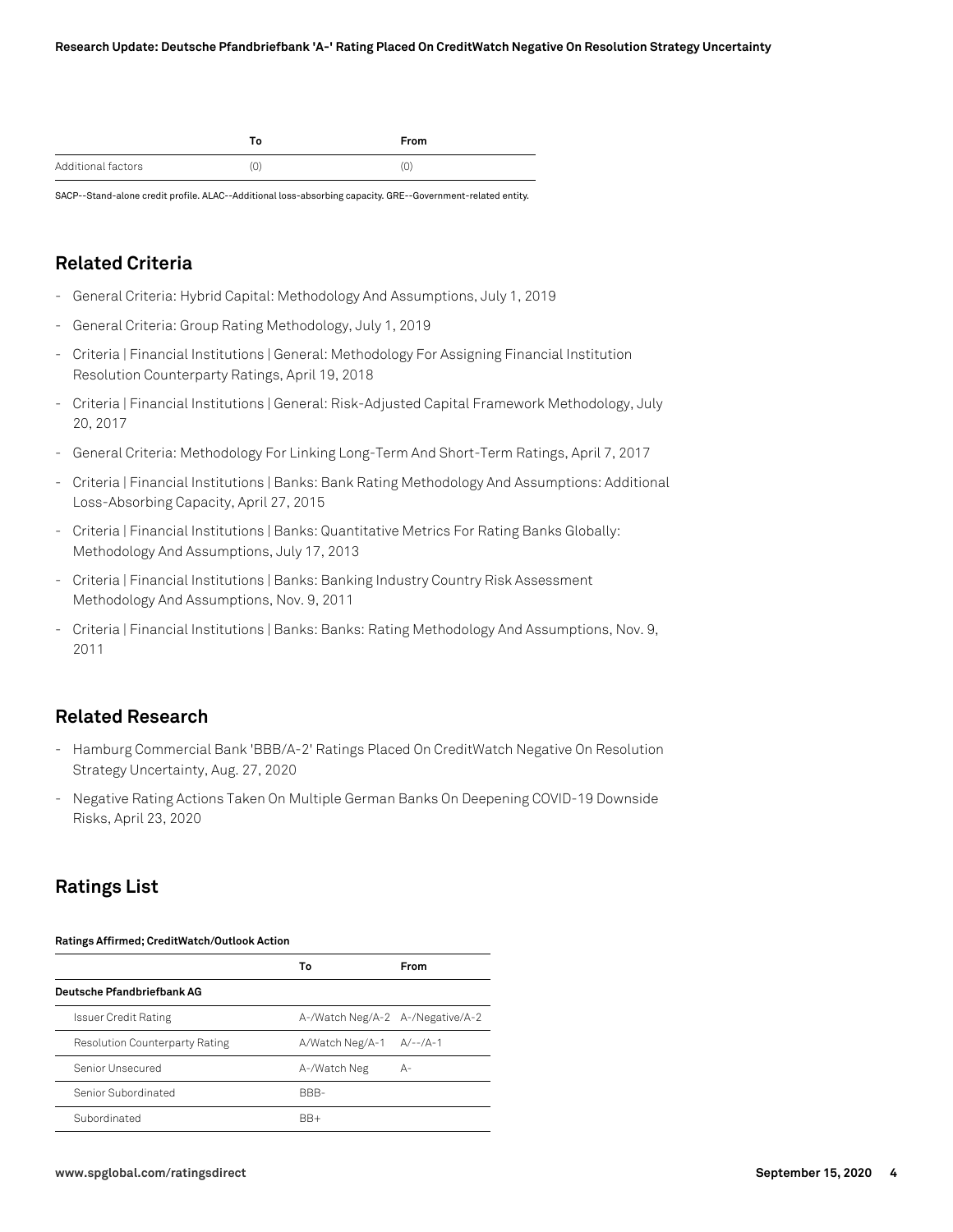|                    | Го | From |
|--------------------|----|------|
| Additional factors | U. | U,   |

SACP--Stand-alone credit profile. ALAC--Additional loss-absorbing capacity. GRE--Government-related entity.

## **Related Criteria**

- General Criteria: Hybrid Capital: Methodology And Assumptions, July 1, 2019
- General Criteria: Group Rating Methodology, July 1, 2019
- Criteria | Financial Institutions | General: Methodology For Assigning Financial Institution Resolution Counterparty Ratings, April 19, 2018
- Criteria | Financial Institutions | General: Risk-Adjusted Capital Framework Methodology, July 20, 2017
- General Criteria: Methodology For Linking Long-Term And Short-Term Ratings, April 7, 2017
- Criteria | Financial Institutions | Banks: Bank Rating Methodology And Assumptions: Additional Loss-Absorbing Capacity, April 27, 2015
- Criteria | Financial Institutions | Banks: Quantitative Metrics For Rating Banks Globally: Methodology And Assumptions, July 17, 2013
- Criteria | Financial Institutions | Banks: Banking Industry Country Risk Assessment Methodology And Assumptions, Nov. 9, 2011
- Criteria | Financial Institutions | Banks: Banks: Rating Methodology And Assumptions, Nov. 9, 2011

## **Related Research**

- Hamburg Commercial Bank 'BBB/A-2' Ratings Placed On CreditWatch Negative On Resolution Strategy Uncertainty, Aug. 27, 2020
- Negative Rating Actions Taken On Multiple German Banks On Deepening COVID-19 Downside Risks, April 23, 2020

## **Ratings List**

#### **Ratings Affirmed; CreditWatch/Outlook Action**

|                                       | Т٥                               | <b>From</b> |
|---------------------------------------|----------------------------------|-------------|
| Deutsche Pfandbriefbank AG            |                                  |             |
| Issuer Credit Rating                  | A-/Watch Neg/A-2 A-/Negative/A-2 |             |
| <b>Resolution Counterparty Rating</b> | A/Watch Neg/A-1 A/--/A-1         |             |
| Senior Unsecured                      | A-/Watch Neg                     | А-          |
| Senior Subordinated                   | BBB-                             |             |
| Subordinated                          | $BR+$                            |             |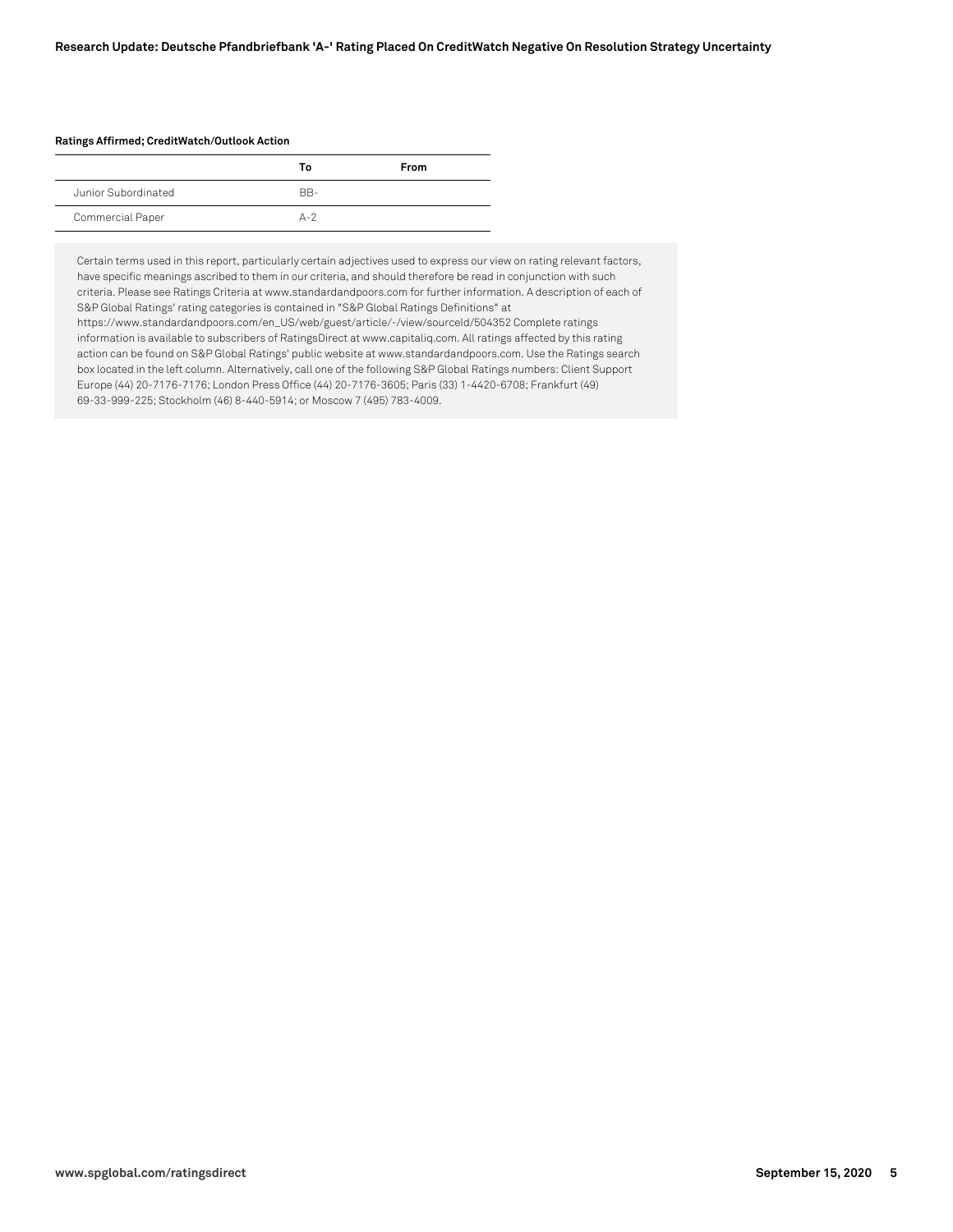#### **Ratings Affirmed; CreditWatch/Outlook Action**

|                     | Т٥    | From |
|---------------------|-------|------|
| Junior Subordinated | RR-   |      |
| Commercial Paper    | $A-2$ |      |

Certain terms used in this report, particularly certain adjectives used to express our view on rating relevant factors, have specific meanings ascribed to them in our criteria, and should therefore be read in conjunction with such criteria. Please see Ratings Criteria at www.standardandpoors.com for further information. A description of each of S&P Global Ratings' rating categories is contained in "S&P Global Ratings Definitions" at https://www.standardandpoors.com/en\_US/web/guest/article/-/view/sourceId/504352 Complete ratings information is available to subscribers of RatingsDirect at www.capitaliq.com. All ratings affected by this rating action can be found on S&P Global Ratings' public website at www.standardandpoors.com. Use the Ratings search box located in the left column. Alternatively, call one of the following S&P Global Ratings numbers: Client Support Europe (44) 20-7176-7176; London Press Office (44) 20-7176-3605; Paris (33) 1-4420-6708; Frankfurt (49) 69-33-999-225; Stockholm (46) 8-440-5914; or Moscow 7 (495) 783-4009.